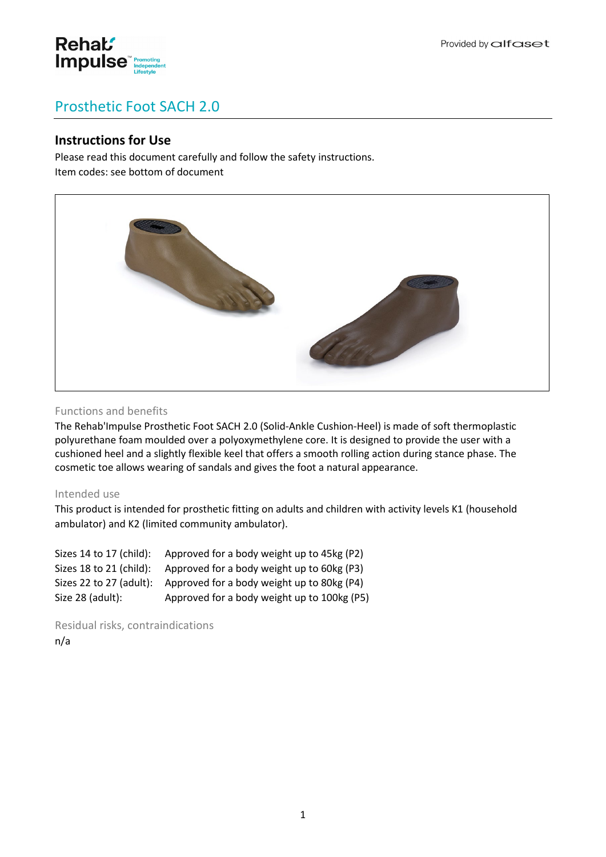

# Prosthetic Foot SACH 2.0

## **Instructions for Use**

Please read this document carefully and follow the safety instructions. Item codes: see bottom of document



## Functions and benefits

The Rehab'Impulse Prosthetic Foot SACH 2.0 (Solid-Ankle Cushion-Heel) is made of soft thermoplastic polyurethane foam moulded over a polyoxymethylene core. It is designed to provide the user with a cushioned heel and a slightly flexible keel that offers a smooth rolling action during stance phase. The cosmetic toe allows wearing of sandals and gives the foot a natural appearance.

## Intended use

This product is intended for prosthetic fitting on adults and children with activity levels K1 (household ambulator) and K2 (limited community ambulator).

| Sizes 14 to 17 (child): | Approved for a body weight up to 45kg (P2)  |
|-------------------------|---------------------------------------------|
| Sizes 18 to 21 (child): | Approved for a body weight up to 60kg (P3)  |
| Sizes 22 to 27 (adult): | Approved for a body weight up to 80kg (P4)  |
| Size 28 (adult):        | Approved for a body weight up to 100kg (P5) |

Residual risks, contraindications n/a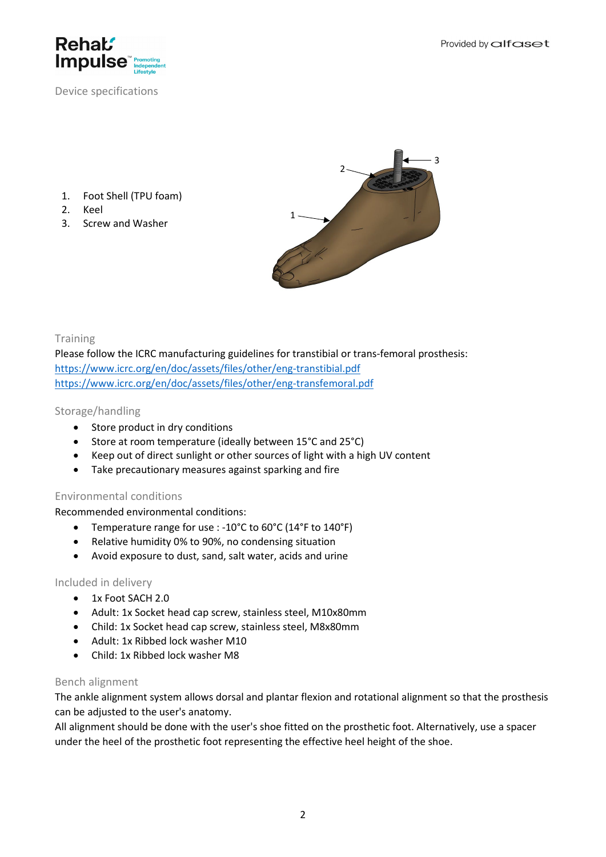

Provided by alfaset

Device specifications

- 1. Foot Shell (TPU foam)
- 2. Keel
- 3. Screw and Washer



**Training** 

Please follow the ICRC manufacturing guidelines for transtibial or trans-femoral prosthesis: <https://www.icrc.org/en/doc/assets/files/other/eng-transtibial.pdf> <https://www.icrc.org/en/doc/assets/files/other/eng-transfemoral.pdf>

## Storage/handling

- Store product in dry conditions
- Store at room temperature (ideally between 15°C and 25°C)
- Keep out of direct sunlight or other sources of light with a high UV content
- Take precautionary measures against sparking and fire

## Environmental conditions

Recommended environmental conditions:

- Temperature range for use : -10°C to 60°C (14°F to 140°F)
- Relative humidity 0% to 90%, no condensing situation
- Avoid exposure to dust, sand, salt water, acids and urine

## Included in delivery

- 1x Foot SACH 2.0
- Adult: 1x Socket head cap screw, stainless steel, M10x80mm
- Child: 1x Socket head cap screw, stainless steel, M8x80mm
- Adult: 1x Ribbed lock washer M10
- Child: 1x Ribbed lock washer M8

## Bench alignment

The ankle alignment system allows dorsal and plantar flexion and rotational alignment so that the prosthesis can be adjusted to the user's anatomy.

All alignment should be done with the user's shoe fitted on the prosthetic foot. Alternatively, use a spacer under the heel of the prosthetic foot representing the effective heel height of the shoe.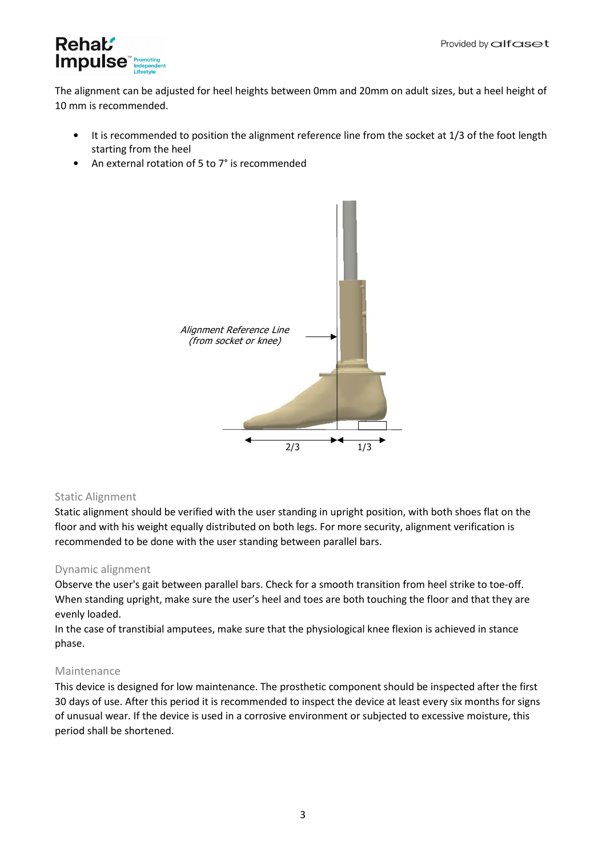

The alignment can be adjusted for heel heights between 0mm and 20mm on adult sizes, but a heel height of 10 mm is recommended.

- It is recommended to position the alignment reference line from the socket at 1/3 of the foot length starting from the heel
- An external rotation of 5 to 7° is recommended



## Static Alignment

Static alignment should be verified with the user standing in upright position, with both shoes flat on the floor and with his weight equally distributed on both legs. For more security, alignment verification is recommended to be done with the user standing between parallel bars.

## Dynamic alignment

Observe the user's gait between parallel bars. Check for a smooth transition from heel strike to toe-off. When standing upright, make sure the user's heel and toes are both touching the floor and that they are evenly loaded.

In the case of transtibial amputees, make sure that the physiological knee flexion is achieved in stance phase.

## Maintenance

This device is designed for low maintenance. The prosthetic component should be inspected after the first 30 days of use. After this period it is recommended to inspect the device at least every six months for signs of unusual wear. If the device is used in a corrosive environment or subjected to excessive moisture, this period shall be shortened.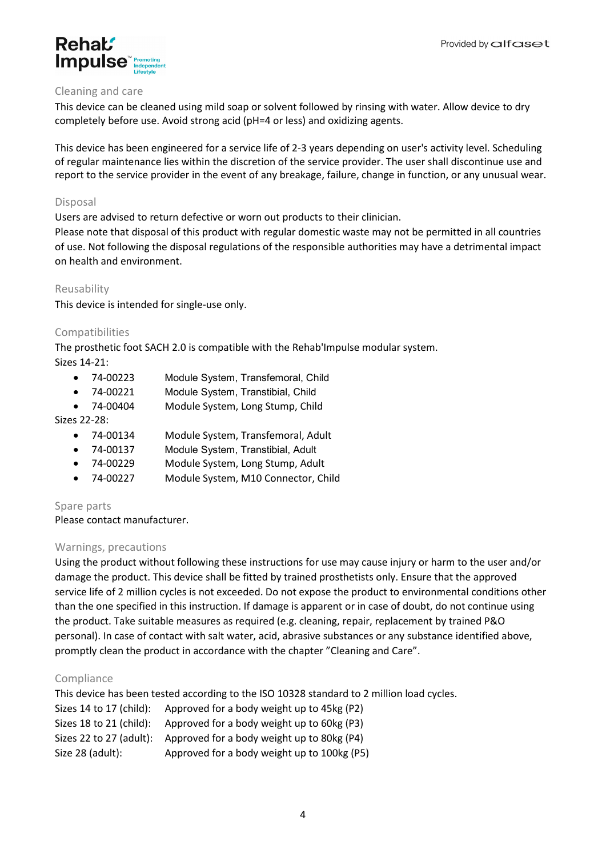

## Cleaning and care

This device can be cleaned using mild soap or solvent followed by rinsing with water. Allow device to dry completely before use. Avoid strong acid (pH=4 or less) and oxidizing agents.

This device has been engineered for a service life of 2-3 years depending on user's activity level. Scheduling of regular maintenance lies within the discretion of the service provider. The user shall discontinue use and report to the service provider in the event of any breakage, failure, change in function, or any unusual wear.

## Disposal

Users are advised to return defective or worn out products to their clinician.

Please note that disposal of this product with regular domestic waste may not be permitted in all countries of use. Not following the disposal regulations of the responsible authorities may have a detrimental impact on health and environment.

## Reusability

This device is intended for single-use only.

## Compatibilities

The prosthetic foot SACH 2.0 is compatible with the Rehab'Impulse modular system.

Sizes 14-21:

- 74-00223 Module System, Transfemoral, Child
- 74-00221 Module System, Transtibial, Child
- 74-00404 Module System, Long Stump, Child

## Sizes 22-28:

- 74-00134 Module System, Transfemoral, Adult
- 74-00137 Module System, Transtibial, Adult
- 74-00229 Module System, Long Stump, Adult
- 74-00227 Module System, M10 Connector, Child

## Spare parts

Please contact manufacturer.

## Warnings, precautions

Using the product without following these instructions for use may cause injury or harm to the user and/or damage the product. This device shall be fitted by trained prosthetists only. Ensure that the approved service life of 2 million cycles is not exceeded. Do not expose the product to environmental conditions other than the one specified in this instruction. If damage is apparent or in case of doubt, do not continue using the product. Take suitable measures as required (e.g. cleaning, repair, replacement by trained P&O personal). In case of contact with salt water, acid, abrasive substances or any substance identified above, promptly clean the product in accordance with the chapter "Cleaning and Care".

## Compliance

This device has been tested according to the ISO 10328 standard to 2 million load cycles. Sizes 14 to 17 (child): Approved for a body weight up to 45kg (P2) Sizes 18 to 21 (child): Approved for a body weight up to 60kg (P3) Sizes 22 to 27 (adult): Approved for a body weight up to 80kg (P4) Size 28 (adult): Approved for a body weight up to 100kg (P5)